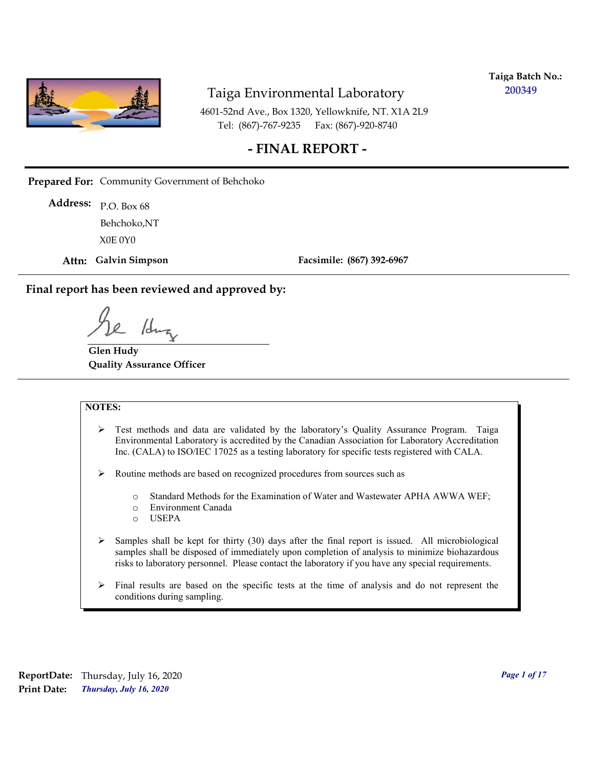

**Taiga Batch No.: 200349**

4601-52nd Ave., Box 1320, Yellowknife, NT. X1A 2L9 Tel: (867)-767-9235 Fax: (867)-920-8740

#### **- FINAL REPORT -**

**Prepared For:** Community Government of Behchoko

P.O. Box 68 **Address:** X0E 0Y0 Behchoko,NT

**Attn: Galvin Simpson**

**Facsimile: (867) 392-6967**

**Final report has been reviewed and approved by:**

1dr

**Glen Hudy Quality Assurance Officer**

#### **NOTES:**

- $\triangleright$  Test methods and data are validated by the laboratory's Quality Assurance Program. Taiga Environmental Laboratory is accredited by the Canadian Association for Laboratory Accreditation Inc. (CALA) to ISO/IEC 17025 as a testing laboratory for specific tests registered with CALA.
- Routine methods are based on recognized procedures from sources such as
	- o Standard Methods for the Examination of Water and Wastewater APHA AWWA WEF;
	- o Environment Canada
	- o USEPA
- $\triangleright$  Samples shall be kept for thirty (30) days after the final report is issued. All microbiological samples shall be disposed of immediately upon completion of analysis to minimize biohazardous risks to laboratory personnel. Please contact the laboratory if you have any special requirements.
- $\triangleright$  Final results are based on the specific tests at the time of analysis and do not represent the conditions during sampling.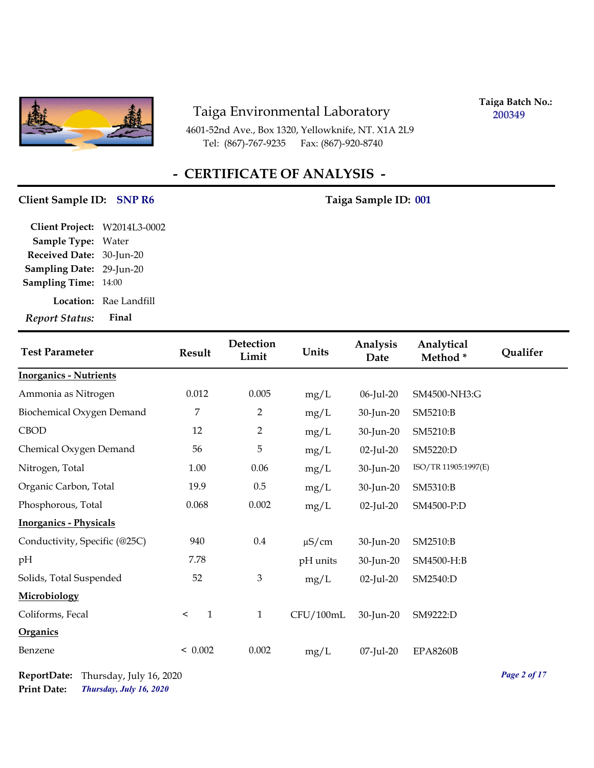

4601-52nd Ave., Box 1320, Yellowknife, NT. X1A 2L9 Tel: (867)-767-9235 Fax: (867)-920-8740

**Taiga Batch No.: 200349**

## **- CERTIFICATE OF ANALYSIS -**

#### **Client Sample ID:** SNP R6 Taiga Sample ID: 001

| Client Project: W2014L3-0002 |                               |
|------------------------------|-------------------------------|
| <b>Sample Type: Water</b>    |                               |
| Received Date: 30-Jun-20     |                               |
| Sampling Date: 29-Jun-20     |                               |
| <b>Sampling Time: 14:00</b>  |                               |
|                              | <b>Location:</b> Rae Landfill |
| <b>Report Status:</b>        | Final                         |

| <b>Test Parameter</b>         | <b>Result</b>           | Detection<br>Limit | Units      | Analysis<br>Date | Analytical<br>Method* | <b>Qualifer</b> |
|-------------------------------|-------------------------|--------------------|------------|------------------|-----------------------|-----------------|
| <b>Inorganics - Nutrients</b> |                         |                    |            |                  |                       |                 |
| Ammonia as Nitrogen           | 0.012                   | 0.005              | mg/L       | 06-Jul-20        | SM4500-NH3:G          |                 |
| Biochemical Oxygen Demand     | 7                       | 2                  | mg/L       | 30-Jun-20        | SM5210:B              |                 |
| <b>CBOD</b>                   | 12                      | $\overline{2}$     | mg/L       | 30-Jun-20        | SM5210:B              |                 |
| Chemical Oxygen Demand        | 56                      | 5                  | mg/L       | $02$ -Jul-20     | SM5220:D              |                 |
| Nitrogen, Total               | 1.00                    | 0.06               | mg/L       | 30-Jun-20        | ISO/TR 11905:1997(E)  |                 |
| Organic Carbon, Total         | 19.9                    | 0.5                | mg/L       | 30-Jun-20        | SM5310:B              |                 |
| Phosphorous, Total            | 0.068                   | 0.002              | mg/L       | $02$ -Jul-20     | SM4500-P:D            |                 |
| <b>Inorganics - Physicals</b> |                         |                    |            |                  |                       |                 |
| Conductivity, Specific (@25C) | 940                     | 0.4                | $\mu$ S/cm | 30-Jun-20        | SM2510:B              |                 |
| pH                            | 7.78                    |                    | pH units   | 30-Jun-20        | SM4500-H:B            |                 |
| Solids, Total Suspended       | 52                      | 3                  | mg/L       | $02$ -Jul-20     | SM2540:D              |                 |
| Microbiology                  |                         |                    |            |                  |                       |                 |
| Coliforms, Fecal              | $\mathbf{1}$<br>$\,<\,$ | 1                  | CFU/100mL  | 30-Jun-20        | SM9222:D              |                 |
| <b>Organics</b>               |                         |                    |            |                  |                       |                 |
| Benzene                       | < 0.002                 | 0.002              | mg/L       | 07-Jul-20        | <b>EPA8260B</b>       |                 |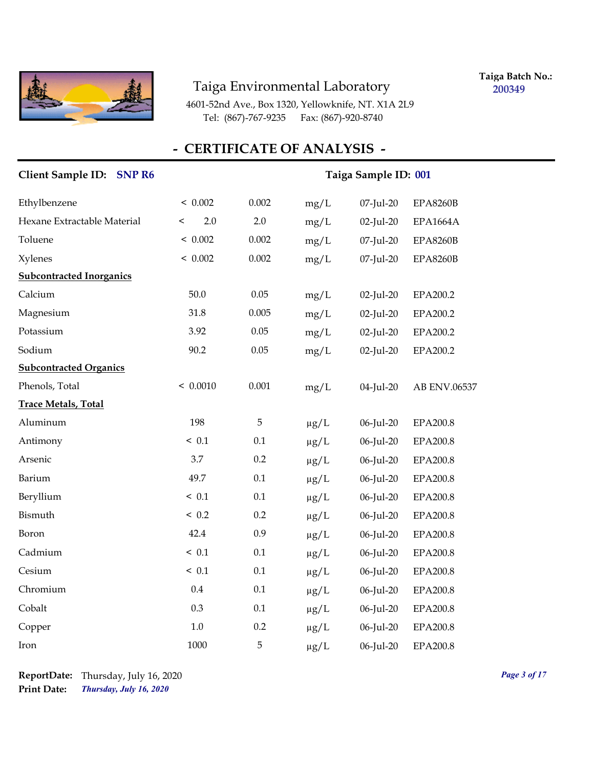

**Taiga Batch No.: 200349**

4601-52nd Ave., Box 1320, Yellowknife, NT. X1A 2L9 Tel: (867)-767-9235 Fax: (867)-920-8740

| Client Sample ID: SNP R6        |                | Taiga Sample ID: 001 |           |              |                 |
|---------------------------------|----------------|----------------------|-----------|--------------|-----------------|
| Ethylbenzene                    | < 0.002        | 0.002                | mg/L      | 07-Jul-20    | <b>EPA8260B</b> |
| Hexane Extractable Material     | 2.0<br>$\,<\,$ | 2.0                  | mg/L      | 02-Jul-20    | <b>EPA1664A</b> |
| Toluene                         | < 0.002        | 0.002                | mg/L      | 07-Jul-20    | <b>EPA8260B</b> |
| <b>Xylenes</b>                  | < 0.002        | 0.002                | mg/L      | 07-Jul-20    | <b>EPA8260B</b> |
| <b>Subcontracted Inorganics</b> |                |                      |           |              |                 |
| Calcium                         | 50.0           | 0.05                 | mg/L      | 02-Jul-20    | EPA200.2        |
| Magnesium                       | 31.8           | 0.005                | mg/L      | 02-Jul-20    | EPA200.2        |
| Potassium                       | 3.92           | 0.05                 | mg/L      | $02$ -Jul-20 | EPA200.2        |
| Sodium                          | 90.2           | 0.05                 | mg/L      | $02$ -Jul-20 | EPA200.2        |
| <b>Subcontracted Organics</b>   |                |                      |           |              |                 |
| Phenols, Total                  | < 0.0010       | 0.001                | mg/L      | 04-Jul-20    | AB ENV.06537    |
| <b>Trace Metals, Total</b>      |                |                      |           |              |                 |
| Aluminum                        | 198            | 5                    | $\mu g/L$ | 06-Jul-20    | EPA200.8        |
| Antimony                        | ~< 0.1         | 0.1                  | $\mu g/L$ | 06-Jul-20    | <b>EPA200.8</b> |
| Arsenic                         | 3.7            | 0.2                  | $\mu g/L$ | 06-Jul-20    | EPA200.8        |
| Barium                          | 49.7           | 0.1                  | $\mu g/L$ | 06-Jul-20    | <b>EPA200.8</b> |
| Beryllium                       | ~< 0.1         | 0.1                  | $\mu$ g/L | 06-Jul-20    | EPA200.8        |
| Bismuth                         | < 0.2          | 0.2                  | $\mu g/L$ | 06-Jul-20    | EPA200.8        |
| Boron                           | 42.4           | 0.9                  | $\mu g/L$ | 06-Jul-20    | EPA200.8        |
| Cadmium                         | ~< 0.1         | 0.1                  | $\mu g/L$ | 06-Jul-20    | EPA200.8        |
| Cesium                          | ~< 0.1         | 0.1                  | $\mu g/L$ | 06-Jul-20    | <b>EPA200.8</b> |
| Chromium                        | $0.4\,$        | 0.1                  | $\mu g/L$ | 06-Jul-20    | EPA200.8        |
| Cobalt                          | 0.3            | 0.1                  | $\mu g/L$ | 06-Jul-20    | EPA200.8        |
| Copper                          | 1.0            | 0.2                  | $\mu$ g/L | 06-Jul-20    | EPA200.8        |
| Iron                            | 1000           | 5                    | $\mu$ g/L | 06-Jul-20    | EPA200.8        |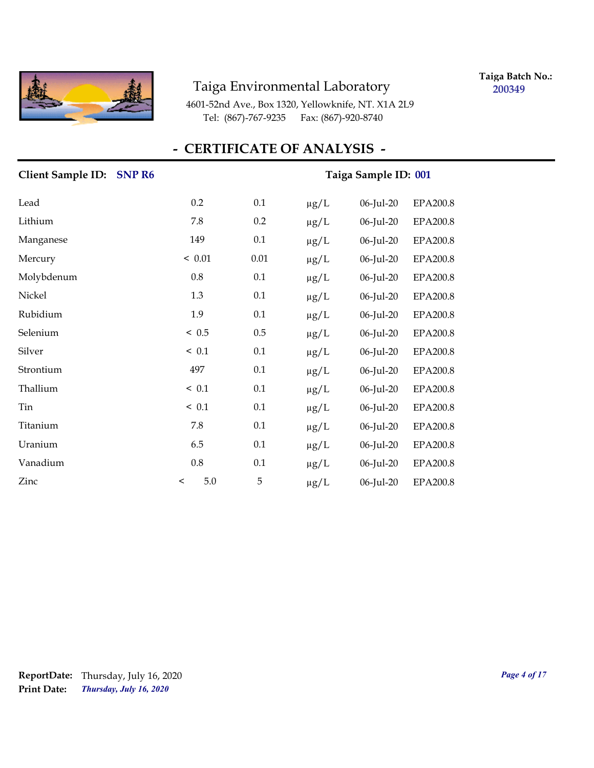

**Taiga Batch No.: 200349**

4601-52nd Ave., Box 1320, Yellowknife, NT. X1A 2L9 Tel: (867)-767-9235 Fax: (867)-920-8740

| Client Sample ID: SNP R6 |         |         | Taiga Sample ID: 001 |           |           |                 |
|--------------------------|---------|---------|----------------------|-----------|-----------|-----------------|
| Lead                     |         | 0.2     | 0.1                  | $\mu g/L$ | 06-Jul-20 | <b>EPA200.8</b> |
| Lithium                  |         | 7.8     | 0.2                  | $\mu g/L$ | 06-Jul-20 | EPA200.8        |
| Manganese                |         | 149     | 0.1                  | $\mu g/L$ | 06-Jul-20 | <b>EPA200.8</b> |
| Mercury                  |         | < 0.01  | $0.01\,$             | $\mu g/L$ | 06-Jul-20 | <b>EPA200.8</b> |
| Molybdenum               |         | 0.8     | 0.1                  | $\mu$ g/L | 06-Jul-20 | EPA200.8        |
| Nickel                   |         | 1.3     | 0.1                  | $\mu g/L$ | 06-Jul-20 | EPA200.8        |
| Rubidium                 |         | 1.9     | 0.1                  | $\mu g/L$ | 06-Jul-20 | <b>EPA200.8</b> |
| Selenium                 |         | ~< 0.5  | $0.5\,$              | $\mu g/L$ | 06-Jul-20 | <b>EPA200.8</b> |
| Silver                   |         | ~< 0.1  | 0.1                  | $\mu g/L$ | 06-Jul-20 | <b>EPA200.8</b> |
| Strontium                |         | 497     | 0.1                  | $\mu g/L$ | 06-Jul-20 | <b>EPA200.8</b> |
| Thallium                 |         | < 0.1   | 0.1                  | $\mu g/L$ | 06-Jul-20 | <b>EPA200.8</b> |
| Tin                      |         | ~< 0.1  | 0.1                  | $\mu$ g/L | 06-Jul-20 | <b>EPA200.8</b> |
| Titanium                 |         | 7.8     | 0.1                  | $\mu$ g/L | 06-Jul-20 | <b>EPA200.8</b> |
| Uranium                  |         | 6.5     | 0.1                  | $\mu$ g/L | 06-Jul-20 | EPA200.8        |
| Vanadium                 |         | $0.8\,$ | 0.1                  | $\mu g/L$ | 06-Jul-20 | <b>EPA200.8</b> |
| Zinc                     | $\,<\,$ | $5.0\,$ | 5                    | $\mu$ g/L | 06-Jul-20 | <b>EPA200.8</b> |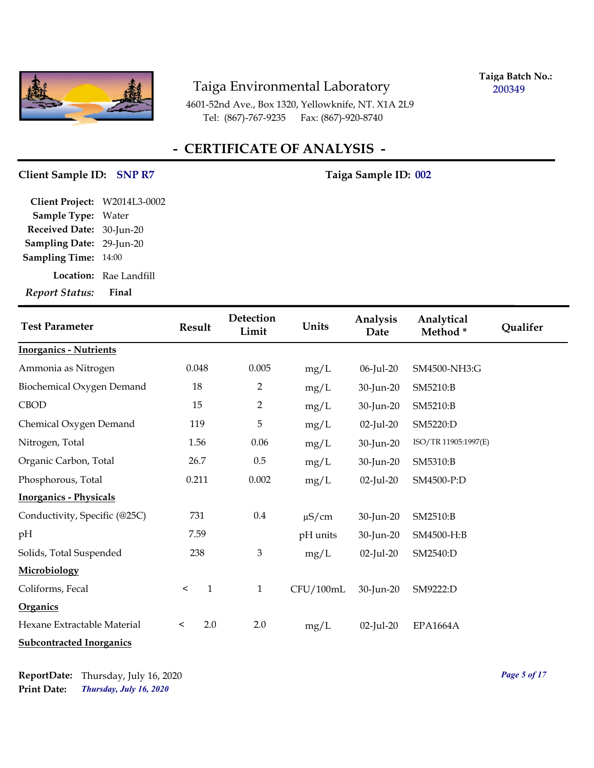

**Taiga Batch No.: 200349**

4601-52nd Ave., Box 1320, Yellowknife, NT. X1A 2L9 Tel: (867)-767-9235 Fax: (867)-920-8740

## **- CERTIFICATE OF ANALYSIS -**

#### Client Sample ID: SNP R7 Taiga Sample ID: 002

| Client Project: W2014L3-0002 |                        |
|------------------------------|------------------------|
| Sample Type: Water           |                        |
| Received Date: 30-Jun-20     |                        |
| Sampling Date: 29-Jun-20     |                        |
| <b>Sampling Time: 14:00</b>  |                        |
|                              | Location: Rae Landfill |
| Report Status:               | Final                  |

| <b>Test Parameter</b>           | <b>Result</b>           | Detection<br>Limit | Units      | Analysis<br>Date | Analytical<br>Method* | Qualifer |
|---------------------------------|-------------------------|--------------------|------------|------------------|-----------------------|----------|
| <b>Inorganics - Nutrients</b>   |                         |                    |            |                  |                       |          |
| Ammonia as Nitrogen             | 0.048                   | 0.005              | mg/L       | 06-Jul-20        | SM4500-NH3:G          |          |
| Biochemical Oxygen Demand       | 18                      | $\overline{2}$     | mg/L       | 30-Jun-20        | SM5210:B              |          |
| <b>CBOD</b>                     | 15                      | $\overline{2}$     | mg/L       | 30-Jun-20        | SM5210:B              |          |
| Chemical Oxygen Demand          | 119                     | 5                  | mg/L       | $02$ -Jul-20     | SM5220:D              |          |
| Nitrogen, Total                 | 1.56                    | 0.06               | mg/L       | 30-Jun-20        | ISO/TR 11905:1997(E)  |          |
| Organic Carbon, Total           | 26.7                    | $0.5\,$            | mg/L       | 30-Jun-20        | SM5310:B              |          |
| Phosphorous, Total              | 0.211                   | 0.002              | mg/L       | $02$ -Jul-20     | SM4500-P:D            |          |
| <b>Inorganics - Physicals</b>   |                         |                    |            |                  |                       |          |
| Conductivity, Specific (@25C)   | 731                     | $0.4\,$            | $\mu$ S/cm | 30-Jun-20        | SM2510:B              |          |
| pH                              | 7.59                    |                    | pH units   | 30-Jun-20        | SM4500-H:B            |          |
| Solids, Total Suspended         | 238                     | $\mathfrak{Z}$     | mg/L       | $02$ -Jul-20     | SM2540:D              |          |
| Microbiology                    |                         |                    |            |                  |                       |          |
| Coliforms, Fecal                | $\mathbf{1}$<br>$\,<\,$ | $\mathbf{1}$       | CFU/100mL  | 30-Jun-20        | SM9222:D              |          |
| <b>Organics</b>                 |                         |                    |            |                  |                       |          |
| Hexane Extractable Material     | 2.0<br>$\,<\,$          | 2.0                | mg/L       | $02$ -Jul-20     | <b>EPA1664A</b>       |          |
| <b>Subcontracted Inorganics</b> |                         |                    |            |                  |                       |          |

*Thursday, July 16, 2020* **Print Date: ReportDate:** Thursday, July 16, 2020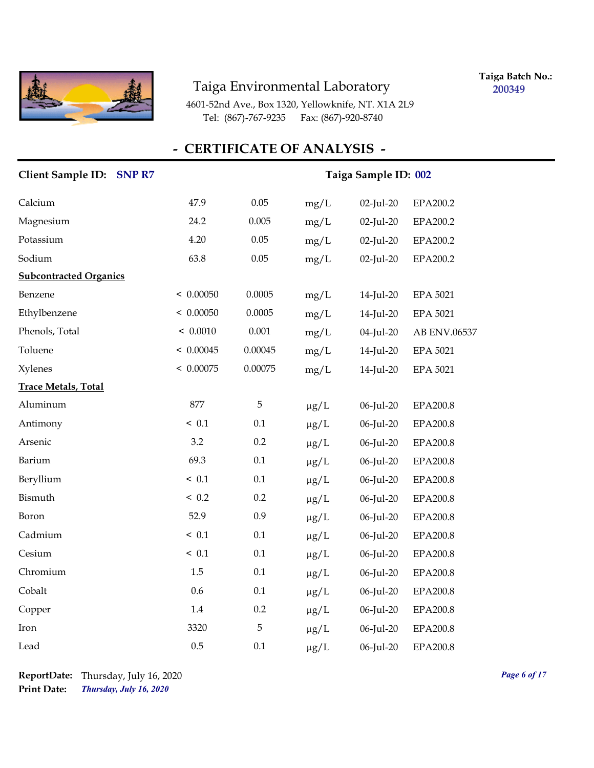

**Taiga Batch No.: 200349**

4601-52nd Ave., Box 1320, Yellowknife, NT. X1A 2L9 Tel: (867)-767-9235 Fax: (867)-920-8740

| Client Sample ID: SNP R7      | Taiga Sample ID: 002 |          |           |              |                 |
|-------------------------------|----------------------|----------|-----------|--------------|-----------------|
| Calcium                       | 47.9                 | $0.05\,$ | mg/L      | 02-Jul-20    | EPA200.2        |
| Magnesium                     | 24.2                 | 0.005    | mg/L      | $02$ -Jul-20 | EPA200.2        |
| Potassium                     | 4.20                 | $0.05\,$ | mg/L      | 02-Jul-20    | EPA200.2        |
| Sodium                        | 63.8                 | 0.05     | mg/L      | 02-Jul-20    | EPA200.2        |
| <b>Subcontracted Organics</b> |                      |          |           |              |                 |
| Benzene                       | < 0.00050            | 0.0005   | mg/L      | 14-Jul-20    | <b>EPA 5021</b> |
| Ethylbenzene                  | < 0.00050            | 0.0005   | mg/L      | 14-Jul-20    | <b>EPA 5021</b> |
| Phenols, Total                | < 0.0010             | 0.001    | mg/L      | 04-Jul-20    | AB ENV.06537    |
| Toluene                       | < 0.00045            | 0.00045  | mg/L      | 14-Jul-20    | <b>EPA 5021</b> |
| <b>Xylenes</b>                | < 0.00075            | 0.00075  | mg/L      | 14-Jul-20    | <b>EPA 5021</b> |
| <b>Trace Metals, Total</b>    |                      |          |           |              |                 |
| Aluminum                      | 877                  | 5        | $\mu g/L$ | 06-Jul-20    | <b>EPA200.8</b> |
| Antimony                      | < 0.1                | 0.1      | $\mu g/L$ | 06-Jul-20    | EPA200.8        |
| Arsenic                       | 3.2                  | 0.2      | $\mu g/L$ | 06-Jul-20    | EPA200.8        |
| Barium                        | 69.3                 | $0.1\,$  | $\mu g/L$ | 06-Jul-20    | EPA200.8        |
| Beryllium                     | ~< 0.1               | $0.1\,$  | $\mu g/L$ | 06-Jul-20    | EPA200.8        |
| Bismuth                       | < 0.2                | 0.2      | $\mu g/L$ | 06-Jul-20    | EPA200.8        |
| Boron                         | 52.9                 | 0.9      | $\mu g/L$ | 06-Jul-20    | EPA200.8        |
| Cadmium                       | ~< 0.1               | 0.1      | $\mu g/L$ | 06-Jul-20    | EPA200.8        |
| Cesium                        | ~< 0.1               | $0.1\,$  | $\mu g/L$ | 06-Jul-20    | EPA200.8        |
| Chromium                      | 1.5                  | 0.1      | $\mu g/L$ | 06-Jul-20    | EPA200.8        |
| Cobalt                        | 0.6                  | 0.1      | $\mu g/L$ | 06-Jul-20    | EPA200.8        |
| Copper                        | $1.4\,$              | 0.2      | $\mu$ g/L | 06-Jul-20    | <b>EPA200.8</b> |
| Iron                          | 3320                 | 5        | $\mu g/L$ | 06-Jul-20    | EPA200.8        |
| Lead                          | 0.5                  | 0.1      | $\mu$ g/L | 06-Jul-20    | EPA200.8        |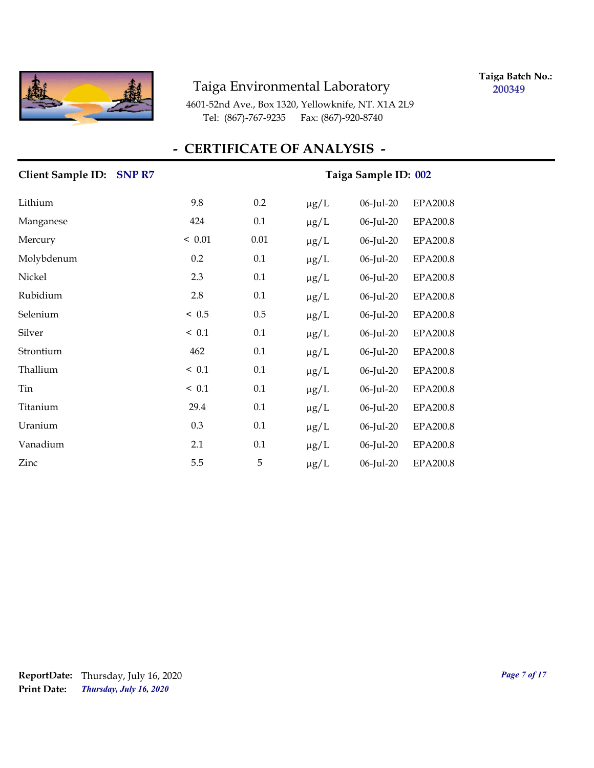

**Taiga Batch No.: 200349**

4601-52nd Ave., Box 1320, Yellowknife, NT. X1A 2L9 Tel: (867)-767-9235 Fax: (867)-920-8740

| Client Sample ID: SNP R7 | Taiga Sample ID: 002 |          |           |           |                 |
|--------------------------|----------------------|----------|-----------|-----------|-----------------|
| Lithium                  | 9.8                  | 0.2      | $\mu g/L$ | 06-Jul-20 | EPA200.8        |
| Manganese                | 424                  | 0.1      | $\mu g/L$ | 06-Jul-20 | <b>EPA200.8</b> |
| Mercury                  | < 0.01               | $0.01\,$ | $\mu$ g/L | 06-Jul-20 | EPA200.8        |
| Molybdenum               | 0.2                  | 0.1      | $\mu$ g/L | 06-Jul-20 | <b>EPA200.8</b> |
| Nickel                   | 2.3                  | 0.1      | $\mu$ g/L | 06-Jul-20 | EPA200.8        |
| Rubidium                 | 2.8                  | 0.1      | $\mu$ g/L | 06-Jul-20 | EPA200.8        |
| Selenium                 | ~< 0.5               | 0.5      | $\mu g/L$ | 06-Jul-20 | EPA200.8        |
| Silver                   | < 0.1                | 0.1      | $\mu$ g/L | 06-Jul-20 | EPA200.8        |
| Strontium                | 462                  | 0.1      | $\mu$ g/L | 06-Jul-20 | EPA200.8        |
| Thallium                 | ~< 0.1               | 0.1      | $\mu g/L$ | 06-Jul-20 | EPA200.8        |
| Tin                      | < 0.1                | 0.1      | $\mu g/L$ | 06-Jul-20 | <b>EPA200.8</b> |
| Titanium                 | 29.4                 | 0.1      | $\mu g/L$ | 06-Jul-20 | EPA200.8        |
| Uranium                  | 0.3                  | 0.1      | $\mu g/L$ | 06-Jul-20 | EPA200.8        |
| Vanadium                 | 2.1                  | 0.1      | $\mu$ g/L | 06-Jul-20 | <b>EPA200.8</b> |
| Zinc                     | 5.5                  | 5        | $\mu$ g/L | 06-Jul-20 | EPA200.8        |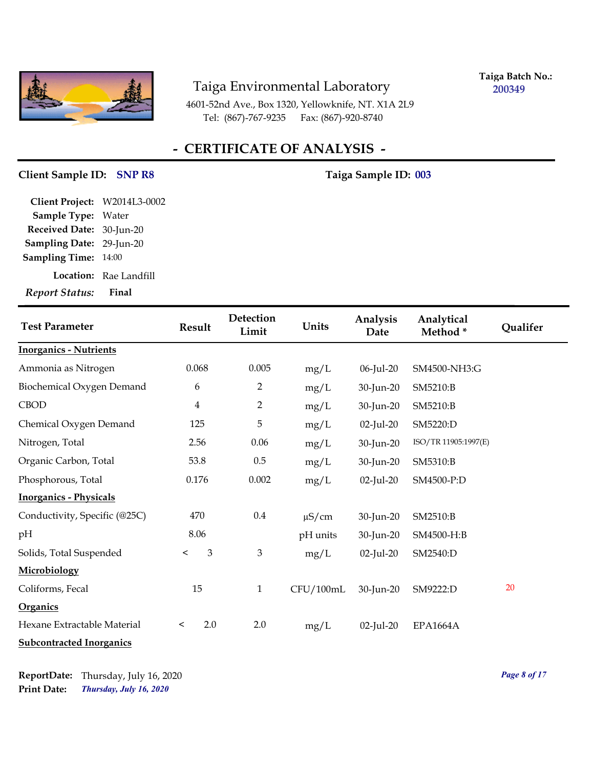

**Taiga Batch No.: 200349**

4601-52nd Ave., Box 1320, Yellowknife, NT. X1A 2L9 Tel: (867)-767-9235 Fax: (867)-920-8740

## **- CERTIFICATE OF ANALYSIS -**

#### Client Sample ID: SNP R8 Taiga Sample ID: 003

| Client Project: W2014L3-0002 |                               |
|------------------------------|-------------------------------|
| Sample Type: Water           |                               |
| Received Date: 30-Jun-20     |                               |
| Sampling Date: 29-Jun-20     |                               |
| <b>Sampling Time: 14:00</b>  |                               |
|                              | <b>Location:</b> Rae Landfill |
| <b>Report Status:</b>        | Final                         |

| <b>Test Parameter</b>           | Result         | Detection<br>Limit | Units      | Analysis<br>Date | Analytical<br>Method* | Qualifer |
|---------------------------------|----------------|--------------------|------------|------------------|-----------------------|----------|
| <b>Inorganics - Nutrients</b>   |                |                    |            |                  |                       |          |
| Ammonia as Nitrogen             | 0.068          | 0.005              | mg/L       | 06-Jul-20        | SM4500-NH3:G          |          |
| Biochemical Oxygen Demand       | 6              | 2                  | mg/L       | 30-Jun-20        | SM5210:B              |          |
| <b>CBOD</b>                     | 4              | 2                  | mg/L       | 30-Jun-20        | SM5210:B              |          |
| Chemical Oxygen Demand          | 125            | 5                  | mg/L       | $02$ -Jul-20     | SM5220:D              |          |
| Nitrogen, Total                 | 2.56           | 0.06               | mg/L       | 30-Jun-20        | ISO/TR 11905:1997(E)  |          |
| Organic Carbon, Total           | 53.8           | $0.5\,$            | mg/L       | 30-Jun-20        | SM5310:B              |          |
| Phosphorous, Total              | 0.176          | 0.002              | mg/L       | $02$ -Jul-20     | SM4500-P:D            |          |
| <b>Inorganics - Physicals</b>   |                |                    |            |                  |                       |          |
| Conductivity, Specific (@25C)   | 470            | 0.4                | $\mu$ S/cm | 30-Jun-20        | SM2510:B              |          |
| pH                              | 8.06           |                    | pH units   | 30-Jun-20        | SM4500-H:B            |          |
| Solids, Total Suspended         | 3<br>$\,<\,$   | 3                  | mg/L       | $02$ -Jul-20     | SM2540:D              |          |
| Microbiology                    |                |                    |            |                  |                       |          |
| Coliforms, Fecal                | 15             | $\mathbf{1}$       | CFU/100mL  | 30-Jun-20        | SM9222:D              | 20       |
| <b>Organics</b>                 |                |                    |            |                  |                       |          |
| Hexane Extractable Material     | 2.0<br>$\,<\,$ | 2.0                | mg/L       | 02-Jul-20        | <b>EPA1664A</b>       |          |
| <b>Subcontracted Inorganics</b> |                |                    |            |                  |                       |          |

*Thursday, July 16, 2020* **Print Date: ReportDate:** Thursday, July 16, 2020 *Page 8 of 17*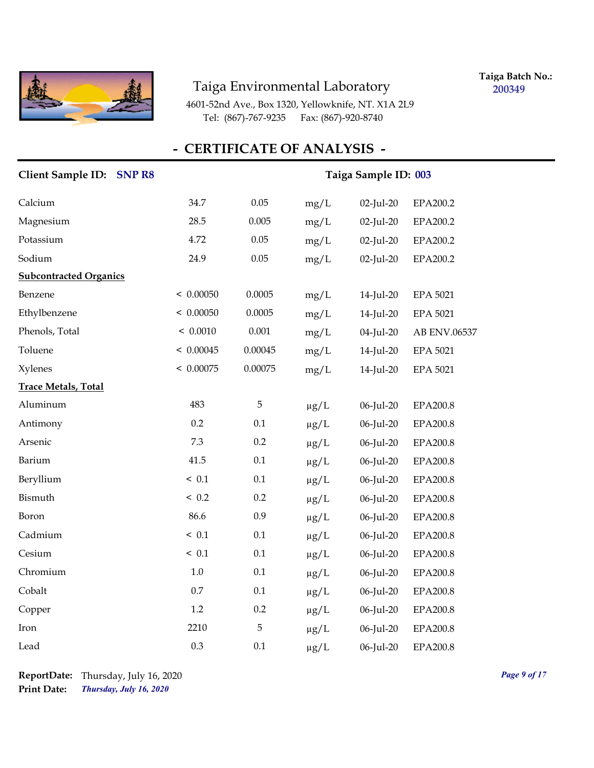

**Taiga Batch No.: 200349**

4601-52nd Ave., Box 1320, Yellowknife, NT. X1A 2L9 Tel: (867)-767-9235 Fax: (867)-920-8740

| Client Sample ID: SNP R8      |           | Taiga Sample ID: 003 |           |              |                 |  |
|-------------------------------|-----------|----------------------|-----------|--------------|-----------------|--|
| Calcium                       | 34.7      | 0.05                 | mg/L      | 02-Jul-20    | EPA200.2        |  |
| Magnesium                     | 28.5      | 0.005                | mg/L      | $02$ -Jul-20 | EPA200.2        |  |
| Potassium                     | 4.72      | 0.05                 | mg/L      | 02-Jul-20    | EPA200.2        |  |
| Sodium                        | 24.9      | $0.05\,$             | mg/L      | $02$ -Jul-20 | EPA200.2        |  |
| <b>Subcontracted Organics</b> |           |                      |           |              |                 |  |
| Benzene                       | < 0.00050 | 0.0005               | mg/L      | 14-Jul-20    | <b>EPA 5021</b> |  |
| Ethylbenzene                  | < 0.00050 | 0.0005               | mg/L      | 14-Jul-20    | <b>EPA 5021</b> |  |
| Phenols, Total                | < 0.0010  | 0.001                | mg/L      | 04-Jul-20    | AB ENV.06537    |  |
| Toluene                       | < 0.00045 | 0.00045              | mg/L      | 14-Jul-20    | <b>EPA 5021</b> |  |
| Xylenes                       | < 0.00075 | 0.00075              | mg/L      | 14-Jul-20    | <b>EPA 5021</b> |  |
| <b>Trace Metals, Total</b>    |           |                      |           |              |                 |  |
| Aluminum                      | 483       | 5                    | $\mu g/L$ | 06-Jul-20    | <b>EPA200.8</b> |  |
| Antimony                      | 0.2       | $0.1\,$              | $\mu g/L$ | 06-Jul-20    | <b>EPA200.8</b> |  |
| Arsenic                       | 7.3       | 0.2                  | $\mu g/L$ | 06-Jul-20    | <b>EPA200.8</b> |  |
| Barium                        | 41.5      | 0.1                  | $\mu g/L$ | 06-Jul-20    | EPA200.8        |  |
| Beryllium                     | ~< 0.1    | 0.1                  | $\mu g/L$ | 06-Jul-20    | EPA200.8        |  |
| Bismuth                       | < 0.2     | 0.2                  | $\mu g/L$ | 06-Jul-20    | EPA200.8        |  |
| Boron                         | 86.6      | 0.9                  | $\mu g/L$ | 06-Jul-20    | EPA200.8        |  |
| Cadmium                       | < 0.1     | 0.1                  | $\mu g/L$ | 06-Jul-20    | EPA200.8        |  |
| Cesium                        | < 0.1     | 0.1                  | $\mu g/L$ | 06-Jul-20    | <b>EPA200.8</b> |  |
| Chromium                      | 1.0       | 0.1                  | $\mu g/L$ | 06-Jul-20    | EPA200.8        |  |
| Cobalt                        | 0.7       | 0.1                  | $\mu g/L$ | 06-Jul-20    | <b>EPA200.8</b> |  |
| Copper                        | $1.2\,$   | 0.2                  | $\mu g/L$ | 06-Jul-20    | <b>EPA200.8</b> |  |
| Iron                          | 2210      | 5                    | $\mu g/L$ | 06-Jul-20    | EPA200.8        |  |
| Lead                          | 0.3       | 0.1                  | $\mu$ g/L | 06-Jul-20    | EPA200.8        |  |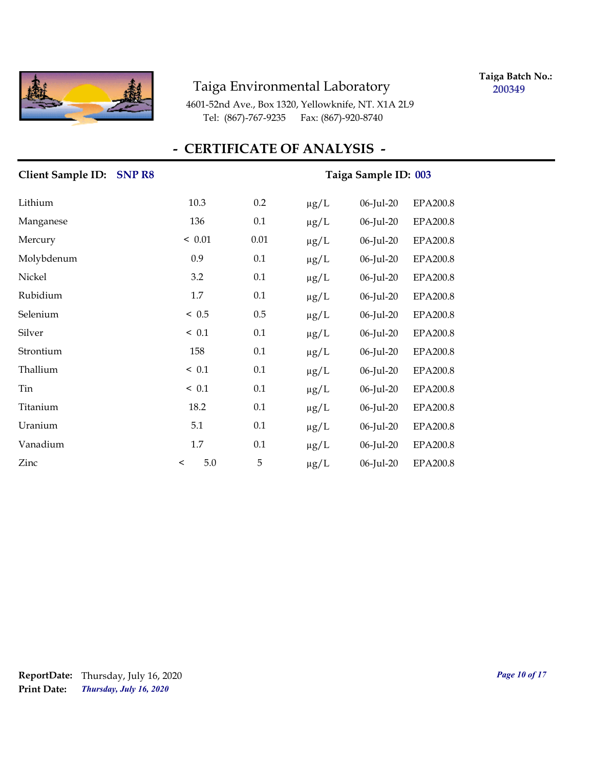

**Taiga Batch No.: 200349**

4601-52nd Ave., Box 1320, Yellowknife, NT. X1A 2L9 Tel: (867)-767-9235 Fax: (867)-920-8740

| <b>Client Sample ID:</b><br><b>SNPR8</b> | Taiga Sample ID: 003 |      |           |              |                 |
|------------------------------------------|----------------------|------|-----------|--------------|-----------------|
| Lithium                                  | 10.3                 | 0.2  | $\mu$ g/L | 06-Jul-20    | <b>EPA200.8</b> |
| Manganese                                | 136                  | 0.1  | $\mu$ g/L | 06-Jul-20    | <b>EPA200.8</b> |
| Mercury                                  | < 0.01               | 0.01 | $\mu g/L$ | 06-Jul-20    | <b>EPA200.8</b> |
| Molybdenum                               | 0.9                  | 0.1  | $\mu$ g/L | 06-Jul-20    | <b>EPA200.8</b> |
| Nickel                                   | 3.2                  | 0.1  | $\mu$ g/L | 06-Jul-20    | EPA200.8        |
| Rubidium                                 | 1.7                  | 0.1  | $\mu g/L$ | 06-Jul-20    | EPA200.8        |
| Selenium                                 | ~< 0.5               | 0.5  | $\mu g/L$ | 06-Jul-20    | EPA200.8        |
| Silver                                   | ~< 0.1               | 0.1  | $\mu g/L$ | 06-Jul-20    | EPA200.8        |
| Strontium                                | 158                  | 0.1  | $\mu$ g/L | 06-Jul-20    | EPA200.8        |
| Thallium                                 | ~< 0.1               | 0.1  | $\mu g/L$ | 06-Jul-20    | EPA200.8        |
| Tin                                      | ~< 0.1               | 0.1  | $\mu g/L$ | $06$ -Jul-20 | <b>EPA200.8</b> |
| Titanium                                 | 18.2                 | 0.1  | $\mu$ g/L | 06-Jul-20    | <b>EPA200.8</b> |
| Uranium                                  | 5.1                  | 0.1  | $\mu g/L$ | 06-Jul-20    | EPA200.8        |
| Vanadium                                 | 1.7                  | 0.1  | $\mu g/L$ | 06-Jul-20    | EPA200.8        |
| Zinc                                     | $5.0\,$<br>$\,<$     | 5    | $\mu$ g/L | 06-Jul-20    | EPA200.8        |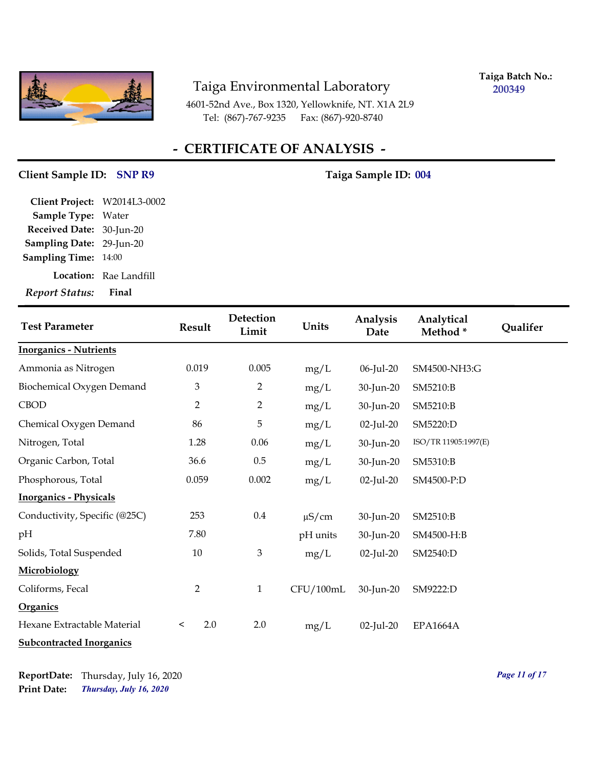

**Taiga Batch No.: 200349**

4601-52nd Ave., Box 1320, Yellowknife, NT. X1A 2L9 Tel: (867)-767-9235 Fax: (867)-920-8740

## **- CERTIFICATE OF ANALYSIS -**

#### Client Sample ID: SNP R9 Taiga Sample ID: 004

| Report Status: Final         |
|------------------------------|
| Location: Rae Landfill       |
| <b>Sampling Time: 14:00</b>  |
| Sampling Date: 29-Jun-20     |
| Received Date: 30-Jun-20     |
| Sample Type: Water           |
| Client Project: W2014L3-0002 |
|                              |

| <b>Test Parameter</b>           | <b>Result</b>  | Detection<br>Limit | Units      | Analysis<br>Date | Analytical<br>Method* | Qualifer |
|---------------------------------|----------------|--------------------|------------|------------------|-----------------------|----------|
| <b>Inorganics - Nutrients</b>   |                |                    |            |                  |                       |          |
| Ammonia as Nitrogen             | 0.019          | 0.005              | mg/L       | 06-Jul-20        | SM4500-NH3:G          |          |
| Biochemical Oxygen Demand       | $\mathfrak{Z}$ | 2                  | mg/L       | 30-Jun-20        | SM5210:B              |          |
| <b>CBOD</b>                     | $\overline{2}$ | $\overline{2}$     | mg/L       | 30-Jun-20        | SM5210:B              |          |
| Chemical Oxygen Demand          | 86             | 5                  | mg/L       | $02$ -Jul-20     | SM5220:D              |          |
| Nitrogen, Total                 | 1.28           | 0.06               | mg/L       | 30-Jun-20        | ISO/TR 11905:1997(E)  |          |
| Organic Carbon, Total           | 36.6           | $0.5\,$            | mg/L       | 30-Jun-20        | SM5310:B              |          |
| Phosphorous, Total              | 0.059          | 0.002              | mg/L       | $02$ -Jul-20     | SM4500-P:D            |          |
| <b>Inorganics - Physicals</b>   |                |                    |            |                  |                       |          |
| Conductivity, Specific (@25C)   | 253            | $0.4\,$            | $\mu$ S/cm | 30-Jun-20        | SM2510:B              |          |
| pН                              | 7.80           |                    | pH units   | 30-Jun-20        | SM4500-H:B            |          |
| Solids, Total Suspended         | 10             | $\mathfrak{B}$     | mg/L       | $02$ -Jul-20     | SM2540:D              |          |
| Microbiology                    |                |                    |            |                  |                       |          |
| Coliforms, Fecal                | $\overline{2}$ | $\mathbf{1}$       | CFU/100mL  | 30-Jun-20        | SM9222:D              |          |
| <b>Organics</b>                 |                |                    |            |                  |                       |          |
| Hexane Extractable Material     | 2.0<br>$\,<\,$ | 2.0                | mg/L       | $02$ -Jul-20     | <b>EPA1664A</b>       |          |
| <b>Subcontracted Inorganics</b> |                |                    |            |                  |                       |          |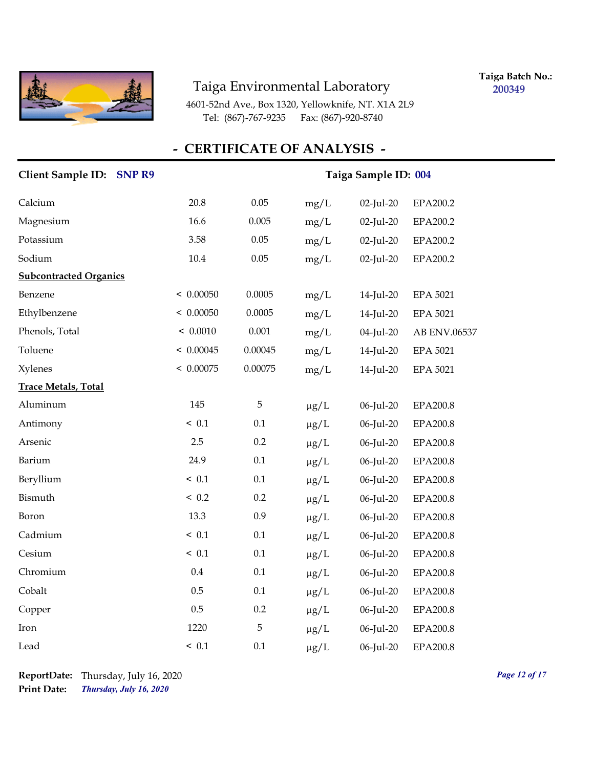

**Taiga Batch No.: 200349**

4601-52nd Ave., Box 1320, Yellowknife, NT. X1A 2L9 Tel: (867)-767-9235 Fax: (867)-920-8740

| Client Sample ID: SNP R9      | Taiga Sample ID: 004 |          |           |              |                 |
|-------------------------------|----------------------|----------|-----------|--------------|-----------------|
| Calcium                       | 20.8                 | 0.05     | mg/L      | 02-Jul-20    | EPA200.2        |
| Magnesium                     | 16.6                 | 0.005    | mg/L      | $02$ -Jul-20 | EPA200.2        |
| Potassium                     | 3.58                 | $0.05\,$ | mg/L      | 02-Jul-20    | EPA200.2        |
| Sodium                        | $10.4\,$             | 0.05     | mg/L      | 02-Jul-20    | EPA200.2        |
| <b>Subcontracted Organics</b> |                      |          |           |              |                 |
| Benzene                       | < 0.00050            | 0.0005   | mg/L      | 14-Jul-20    | <b>EPA 5021</b> |
| Ethylbenzene                  | < 0.00050            | 0.0005   | mg/L      | 14-Jul-20    | <b>EPA 5021</b> |
| Phenols, Total                | < 0.0010             | 0.001    | mg/L      | 04-Jul-20    | AB ENV.06537    |
| Toluene                       | < 0.00045            | 0.00045  | mg/L      | 14-Jul-20    | <b>EPA 5021</b> |
| <b>Xylenes</b>                | < 0.00075            | 0.00075  | mg/L      | 14-Jul-20    | <b>EPA 5021</b> |
| <b>Trace Metals, Total</b>    |                      |          |           |              |                 |
| Aluminum                      | 145                  | 5        | $\mu g/L$ | 06-Jul-20    | <b>EPA200.8</b> |
| Antimony                      | < 0.1                | 0.1      | $\mu g/L$ | 06-Jul-20    | EPA200.8        |
| Arsenic                       | 2.5                  | 0.2      | $\mu g/L$ | 06-Jul-20    | EPA200.8        |
| Barium                        | 24.9                 | $0.1\,$  | $\mu g/L$ | 06-Jul-20    | EPA200.8        |
| Beryllium                     | ~< 0.1               | $0.1\,$  | $\mu g/L$ | 06-Jul-20    | EPA200.8        |
| Bismuth                       | < 0.2                | 0.2      | $\mu g/L$ | 06-Jul-20    | EPA200.8        |
| Boron                         | 13.3                 | 0.9      | $\mu g/L$ | 06-Jul-20    | EPA200.8        |
| Cadmium                       | ~< 0.1               | 0.1      | $\mu g/L$ | 06-Jul-20    | EPA200.8        |
| Cesium                        | ~< 0.1               | $0.1\,$  | $\mu g/L$ | 06-Jul-20    | EPA200.8        |
| Chromium                      | 0.4                  | 0.1      | $\mu g/L$ | 06-Jul-20    | EPA200.8        |
| Cobalt                        | 0.5                  | 0.1      | $\mu g/L$ | 06-Jul-20    | EPA200.8        |
| Copper                        | 0.5                  | 0.2      | $\mu g/L$ | 06-Jul-20    | <b>EPA200.8</b> |
| Iron                          | 1220                 | 5        | $\mu g/L$ | 06-Jul-20    | EPA200.8        |
| Lead                          | < 0.1                | 0.1      | $\mu$ g/L | 06-Jul-20    | EPA200.8        |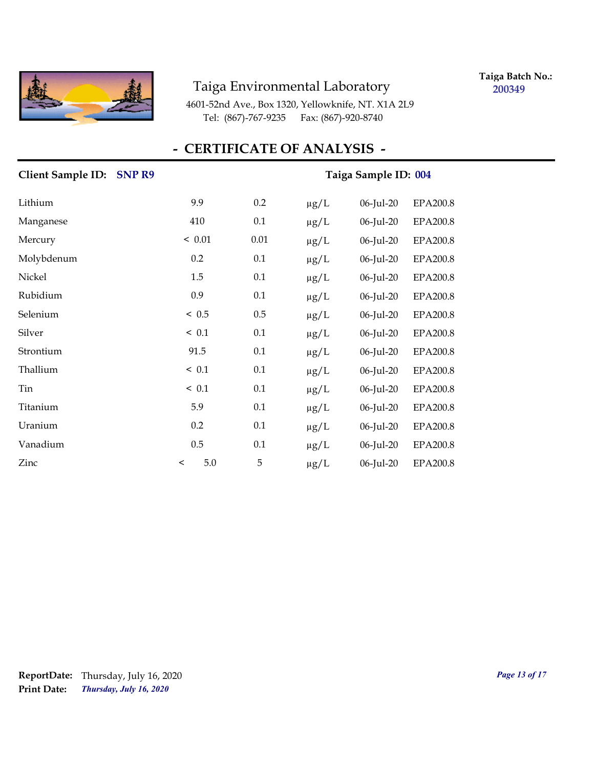

**Taiga Batch No.: 200349**

4601-52nd Ave., Box 1320, Yellowknife, NT. X1A 2L9 Tel: (867)-767-9235 Fax: (867)-920-8740

| Client Sample ID: SNP R9 | Taiga Sample ID: 004 |          |           |           |                 |
|--------------------------|----------------------|----------|-----------|-----------|-----------------|
| Lithium                  | 9.9                  | 0.2      | $\mu g/L$ | 06-Jul-20 | <b>EPA200.8</b> |
| Manganese                | 410                  | 0.1      | $\mu g/L$ | 06-Jul-20 | <b>EPA200.8</b> |
| Mercury                  | < 0.01               | $0.01\,$ | $\mu$ g/L | 06-Jul-20 | <b>EPA200.8</b> |
| Molybdenum               | 0.2                  | 0.1      | $\mu$ g/L | 06-Jul-20 | <b>EPA200.8</b> |
| Nickel                   | 1.5                  | 0.1      | $\mu$ g/L | 06-Jul-20 | EPA200.8        |
| Rubidium                 | 0.9                  | 0.1      | $\mu g/L$ | 06-Jul-20 | EPA200.8        |
| Selenium                 | ~< 0.5               | 0.5      | $\mu g/L$ | 06-Jul-20 | EPA200.8        |
| Silver                   | < 0.1                | 0.1      | $\mu$ g/L | 06-Jul-20 | EPA200.8        |
| Strontium                | 91.5                 | 0.1      | $\mu g/L$ | 06-Jul-20 | <b>EPA200.8</b> |
| Thallium                 | ~< 0.1               | 0.1      | $\mu g/L$ | 06-Jul-20 | EPA200.8        |
| Tin                      | ~< 0.1               | 0.1      | $\mu g/L$ | 06-Jul-20 | <b>EPA200.8</b> |
| Titanium                 | 5.9                  | 0.1      | $\mu$ g/L | 06-Jul-20 | <b>EPA200.8</b> |
| Uranium                  | 0.2                  | 0.1      | $\mu g/L$ | 06-Jul-20 | EPA200.8        |
| Vanadium                 | 0.5                  | 0.1      | $\mu$ g/L | 06-Jul-20 | EPA200.8        |
| Zinc                     | 5.0<br>$\,<\,$       | 5        | $\mu$ g/L | 06-Jul-20 | EPA200.8        |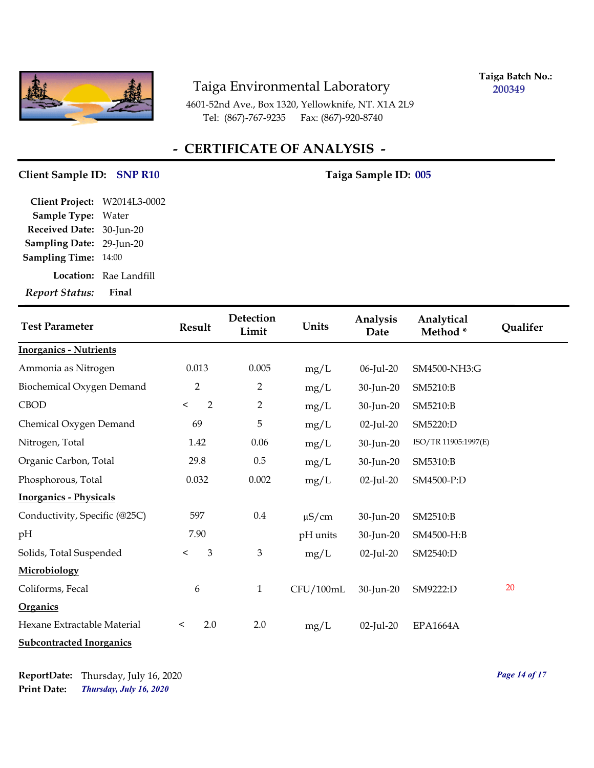

**Taiga Batch No.: 200349**

4601-52nd Ave., Box 1320, Yellowknife, NT. X1A 2L9 Tel: (867)-767-9235 Fax: (867)-920-8740

## **- CERTIFICATE OF ANALYSIS -**

#### Client Sample ID: SNP R10 Taiga Sample ID: 005

| <b>Location:</b> Rae Landfill |
|-------------------------------|
|                               |
|                               |
| Sampling Date: 29-Jun-20      |
| Received Date: 30-Jun-20      |
| Sample Type: Water            |
| Client Project: W2014L3-0002  |
|                               |

| <b>Test Parameter</b>           | <b>Result</b>             | <b>Detection</b><br>Limit | Units      | Analysis<br>Date | Analytical<br>Method* | Qualifer |
|---------------------------------|---------------------------|---------------------------|------------|------------------|-----------------------|----------|
| <b>Inorganics - Nutrients</b>   |                           |                           |            |                  |                       |          |
| Ammonia as Nitrogen             | 0.013                     | 0.005                     | mg/L       | 06-Jul-20        | SM4500-NH3:G          |          |
| Biochemical Oxygen Demand       | $\overline{2}$            | $\overline{2}$            | mg/L       | 30-Jun-20        | SM5210:B              |          |
| <b>CBOD</b>                     | $\overline{2}$<br>$\,<$   | $\overline{2}$            | mg/L       | 30-Jun-20        | SM5210:B              |          |
| Chemical Oxygen Demand          | 69                        | 5                         | mg/L       | 02-Jul-20        | SM5220:D              |          |
| Nitrogen, Total                 | 1.42                      | 0.06                      | mg/L       | 30-Jun-20        | ISO/TR 11905:1997(E)  |          |
| Organic Carbon, Total           | 29.8                      | 0.5                       | mg/L       | 30-Jun-20        | SM5310:B              |          |
| Phosphorous, Total              | 0.032                     | 0.002                     | mg/L       | 02-Jul-20        | SM4500-P:D            |          |
| <b>Inorganics - Physicals</b>   |                           |                           |            |                  |                       |          |
| Conductivity, Specific (@25C)   | 597                       | $0.4\,$                   | $\mu$ S/cm | 30-Jun-20        | SM2510:B              |          |
| pH                              | 7.90                      |                           | pH units   | 30-Jun-20        | SM4500-H:B            |          |
| Solids, Total Suspended         | $\mathfrak{Z}$<br>$\prec$ | $\mathfrak{B}$            | mg/L       | 02-Jul-20        | SM2540:D              |          |
| Microbiology                    |                           |                           |            |                  |                       |          |
| Coliforms, Fecal                | $\boldsymbol{6}$          | $\mathbf{1}$              | CFU/100mL  | 30-Jun-20        | SM9222:D              | 20       |
| <b>Organics</b>                 |                           |                           |            |                  |                       |          |
| Hexane Extractable Material     | 2.0<br>$\,<\,$            | 2.0                       | mg/L       | 02-Jul-20        | <b>EPA1664A</b>       |          |
| <b>Subcontracted Inorganics</b> |                           |                           |            |                  |                       |          |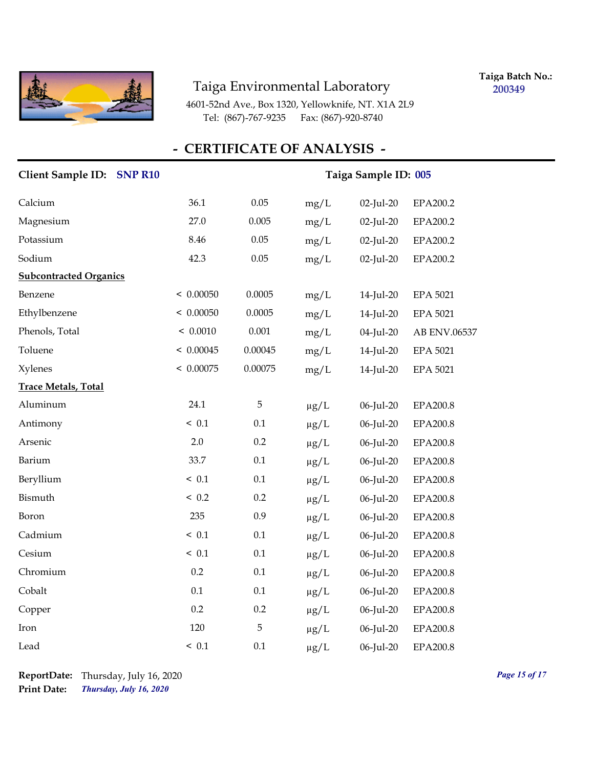

**Taiga Batch No.: 200349**

4601-52nd Ave., Box 1320, Yellowknife, NT. X1A 2L9 Tel: (867)-767-9235 Fax: (867)-920-8740

| Client Sample ID: SNP R10     | Taiga Sample ID: 005 |         |           |           |                 |
|-------------------------------|----------------------|---------|-----------|-----------|-----------------|
| Calcium                       | 36.1                 | 0.05    | mg/L      | 02-Jul-20 | EPA200.2        |
| Magnesium                     | 27.0                 | 0.005   | mg/L      | 02-Jul-20 | EPA200.2        |
| Potassium                     | 8.46                 | 0.05    | mg/L      | 02-Jul-20 | EPA200.2        |
| Sodium                        | 42.3                 | 0.05    | mg/L      | 02-Jul-20 | EPA200.2        |
| <b>Subcontracted Organics</b> |                      |         |           |           |                 |
| Benzene                       | < 0.00050            | 0.0005  | mg/L      | 14-Jul-20 | <b>EPA 5021</b> |
| Ethylbenzene                  | < 0.00050            | 0.0005  | mg/L      | 14-Jul-20 | <b>EPA 5021</b> |
| Phenols, Total                | < 0.0010             | 0.001   | mg/L      | 04-Jul-20 | AB ENV.06537    |
| Toluene                       | < 0.00045            | 0.00045 | mg/L      | 14-Jul-20 | <b>EPA 5021</b> |
| <b>Xylenes</b>                | < 0.00075            | 0.00075 | mg/L      | 14-Jul-20 | <b>EPA 5021</b> |
| <b>Trace Metals, Total</b>    |                      |         |           |           |                 |
| Aluminum                      | 24.1                 | 5       | $\mu g/L$ | 06-Jul-20 | EPA200.8        |
| Antimony                      | ~< 0.1               | 0.1     | $\mu g/L$ | 06-Jul-20 | EPA200.8        |
| Arsenic                       | 2.0                  | 0.2     | $\mu g/L$ | 06-Jul-20 | EPA200.8        |
| Barium                        | 33.7                 | 0.1     | $\mu g/L$ | 06-Jul-20 | EPA200.8        |
| Beryllium                     | ~< 0.1               | 0.1     | $\mu g/L$ | 06-Jul-20 | EPA200.8        |
| Bismuth                       | < 0.2                | 0.2     | $\mu g/L$ | 06-Jul-20 | EPA200.8        |
| Boron                         | 235                  | 0.9     | $\mu g/L$ | 06-Jul-20 | EPA200.8        |
| Cadmium                       | ~< 0.1               | 0.1     | $\mu g/L$ | 06-Jul-20 | EPA200.8        |
| Cesium                        | ~< 0.1               | $0.1\,$ | $\mu g/L$ | 06-Jul-20 | EPA200.8        |
| Chromium                      | 0.2                  | 0.1     | $\mu g/L$ | 06-Jul-20 | EPA200.8        |
| Cobalt                        | 0.1                  | 0.1     | $\mu g/L$ | 06-Jul-20 | EPA200.8        |
| Copper                        | 0.2                  | 0.2     | $\mu$ g/L | 06-Jul-20 | <b>EPA200.8</b> |
| Iron                          | 120                  | 5       | $\mu g/L$ | 06-Jul-20 | EPA200.8        |
| Lead                          | < 0.1                | 0.1     | $\mu$ g/L | 06-Jul-20 | <b>EPA200.8</b> |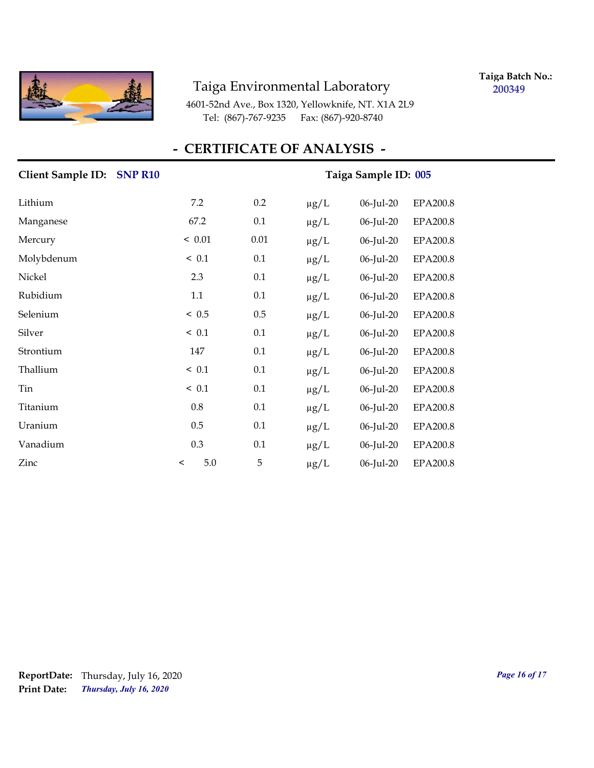

**Taiga Batch No.: 200349**

4601-52nd Ave., Box 1320, Yellowknife, NT. X1A 2L9 Tel: (867)-767-9235 Fax: (867)-920-8740

| <b>Client Sample ID:</b><br><b>SNP R10</b> | Taiga Sample ID: 005 |          |           |           |                 |
|--------------------------------------------|----------------------|----------|-----------|-----------|-----------------|
| Lithium                                    | 7.2                  | 0.2      | $\mu$ g/L | 06-Jul-20 | EPA200.8        |
| Manganese                                  | 67.2                 | 0.1      | $\mu g/L$ | 06-Jul-20 | <b>EPA200.8</b> |
| Mercury                                    | < 0.01               | $0.01\,$ | $\mu$ g/L | 06-Jul-20 | EPA200.8        |
| Molybdenum                                 | ~< 0.1               | 0.1      | $\mu g/L$ | 06-Jul-20 | <b>EPA200.8</b> |
| Nickel                                     | 2.3                  | 0.1      | $\mu$ g/L | 06-Jul-20 | EPA200.8        |
| Rubidium                                   | 1.1                  | 0.1      | $\mu$ g/L | 06-Jul-20 | EPA200.8        |
| Selenium                                   | < 0.5                | 0.5      | $\mu g/L$ | 06-Jul-20 | EPA200.8        |
| Silver                                     | < 0.1                | 0.1      | $\mu$ g/L | 06-Jul-20 | EPA200.8        |
| Strontium                                  | 147                  | 0.1      | $\mu$ g/L | 06-Jul-20 | EPA200.8        |
| Thallium                                   | ~< 0.1               | 0.1      | $\mu g/L$ | 06-Jul-20 | EPA200.8        |
| Tin                                        | ~< 0.1               | 0.1      | $\mu$ g/L | 06-Jul-20 | EPA200.8        |
| Titanium                                   | $0.8\,$              | 0.1      | $\mu$ g/L | 06-Jul-20 | <b>EPA200.8</b> |
| Uranium                                    | $0.5\,$              | 0.1      | $\mu g/L$ | 06-Jul-20 | EPA200.8        |
| Vanadium                                   | 0.3                  | 0.1      | $\mu$ g/L | 06-Jul-20 | <b>EPA200.8</b> |
| Zinc                                       | 5.0<br>$\,<\,$       | 5        | $\mu g/L$ | 06-Jul-20 | <b>EPA200.8</b> |